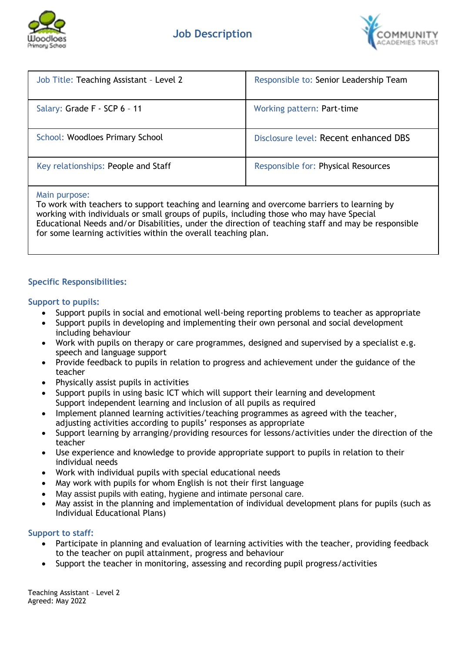



| Job Title: Teaching Assistant - Level 2 | Responsible to: Senior Leadership Team |
|-----------------------------------------|----------------------------------------|
| Salary: Grade F - SCP 6 - 11            | Working pattern: Part-time             |
| School: Woodloes Primary School         | Disclosure level: Recent enhanced DBS  |
| Key relationships: People and Staff     | Responsible for: Physical Resources    |

#### Main purpose:

To work with teachers to support teaching and learning and overcome barriers to learning by working with individuals or small groups of pupils, including those who may have Special Educational Needs and/or Disabilities, under the direction of teaching staff and may be responsible for some learning activities within the overall teaching plan.

# **Specific Responsibilities:**

# **Support to pupils:**

- Support pupils in social and emotional well-being reporting problems to teacher as appropriate
- Support pupils in developing and implementing their own personal and social development including behaviour
- Work with pupils on therapy or care programmes, designed and supervised by a specialist e.g. speech and language support
- Provide feedback to pupils in relation to progress and achievement under the guidance of the teacher
- Physically assist pupils in activities
- Support pupils in using basic ICT which will support their learning and development Support independent learning and inclusion of all pupils as required
- Implement planned learning activities/teaching programmes as agreed with the teacher, adjusting activities according to pupils' responses as appropriate
- Support learning by arranging/providing resources for lessons/activities under the direction of the teacher
- Use experience and knowledge to provide appropriate support to pupils in relation to their individual needs
- Work with individual pupils with special educational needs
- May work with pupils for whom English is not their first language
- May assist pupils with eating, hygiene and intimate personal care.
- May assist in the planning and implementation of individual development plans for pupils (such as Individual Educational Plans)

# **Support to staff:**

- Participate in planning and evaluation of learning activities with the teacher, providing feedback to the teacher on pupil attainment, progress and behaviour
- Support the teacher in monitoring, assessing and recording pupil progress/activities

Teaching Assistant – Level 2 Agreed: May 2022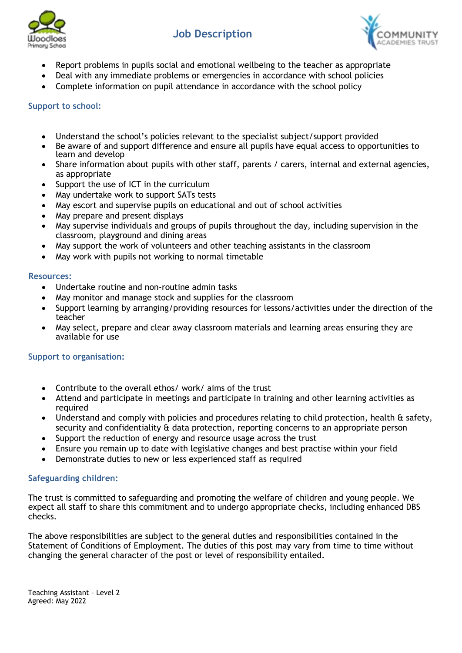



- Report problems in pupils social and emotional wellbeing to the teacher as appropriate
- Deal with any immediate problems or emergencies in accordance with school policies
- Complete information on pupil attendance in accordance with the school policy

### **Support to school:**

- Understand the school's policies relevant to the specialist subject/support provided
- Be aware of and support difference and ensure all pupils have equal access to opportunities to learn and develop
- Share information about pupils with other staff, parents / carers, internal and external agencies, as appropriate
- Support the use of ICT in the curriculum
- May undertake work to support SATs tests
- May escort and supervise pupils on educational and out of school activities
- May prepare and present displays
- May supervise individuals and groups of pupils throughout the day, including supervision in the classroom, playground and dining areas
- May support the work of volunteers and other teaching assistants in the classroom
- May work with pupils not working to normal timetable

#### **Resources:**

- Undertake routine and non-routine admin tasks
- May monitor and manage stock and supplies for the classroom
- Support learning by arranging/providing resources for lessons/activities under the direction of the teacher
- May select, prepare and clear away classroom materials and learning areas ensuring they are available for use

#### **Support to organisation:**

- Contribute to the overall ethos/ work/ aims of the trust
- Attend and participate in meetings and participate in training and other learning activities as required
- Understand and comply with policies and procedures relating to child protection, health & safety, security and confidentiality & data protection, reporting concerns to an appropriate person
- Support the reduction of energy and resource usage across the trust
- Ensure you remain up to date with legislative changes and best practise within your field
- Demonstrate duties to new or less experienced staff as required

# **Safeguarding children:**

The trust is committed to safeguarding and promoting the welfare of children and young people. We expect all staff to share this commitment and to undergo appropriate checks, including enhanced DBS checks.

The above responsibilities are subject to the general duties and responsibilities contained in the Statement of Conditions of Employment. The duties of this post may vary from time to time without changing the general character of the post or level of responsibility entailed.

Teaching Assistant – Level 2 Agreed: May 2022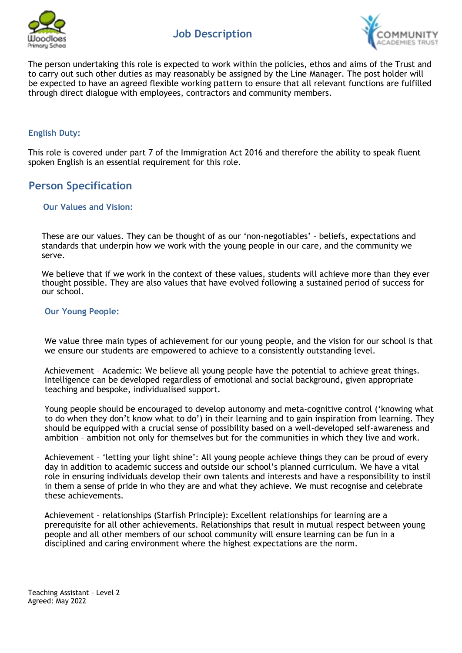



The person undertaking this role is expected to work within the policies, ethos and aims of the Trust and to carry out such other duties as may reasonably be assigned by the Line Manager. The post holder will be expected to have an agreed flexible working pattern to ensure that all relevant functions are fulfilled through direct dialogue with employees, contractors and community members.

# **English Duty:**

This role is covered under part 7 of the Immigration Act 2016 and therefore the ability to speak fluent spoken English is an essential requirement for this role.

# **Person Specification**

#### **Our Values and Vision:**

These are our values. They can be thought of as our 'non-negotiables' – beliefs, expectations and standards that underpin how we work with the young people in our care, and the community we serve.

We believe that if we work in the context of these values, students will achieve more than they ever thought possible. They are also values that have evolved following a sustained period of success for our school.

#### **Our Young People:**

We value three main types of achievement for our young people, and the vision for our school is that we ensure our students are empowered to achieve to a consistently outstanding level.

Achievement – Academic: We believe all young people have the potential to achieve great things. Intelligence can be developed regardless of emotional and social background, given appropriate teaching and bespoke, individualised support.

Young people should be encouraged to develop autonomy and meta-cognitive control ('knowing what to do when they don't know what to do') in their learning and to gain inspiration from learning. They should be equipped with a crucial sense of possibility based on a well-developed self-awareness and ambition – ambition not only for themselves but for the communities in which they live and work.

Achievement – 'letting your light shine': All young people achieve things they can be proud of every day in addition to academic success and outside our school's planned curriculum. We have a vital role in ensuring individuals develop their own talents and interests and have a responsibility to instil in them a sense of pride in who they are and what they achieve. We must recognise and celebrate these achievements.

Achievement – relationships (Starfish Principle): Excellent relationships for learning are a prerequisite for all other achievements. Relationships that result in mutual respect between young people and all other members of our school community will ensure learning can be fun in a disciplined and caring environment where the highest expectations are the norm.

Teaching Assistant – Level 2 Agreed: May 2022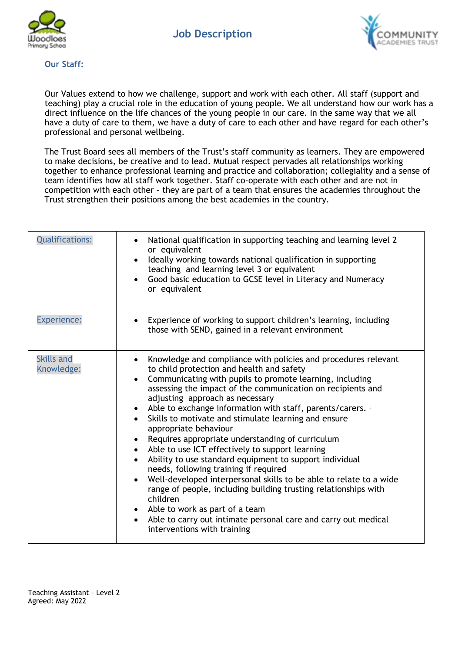



#### **Our Staff:**

Our Values extend to how we challenge, support and work with each other. All staff (support and teaching) play a crucial role in the education of young people. We all understand how our work has a direct influence on the life chances of the young people in our care. In the same way that we all have a duty of care to them, we have a duty of care to each other and have regard for each other's professional and personal wellbeing.

The Trust Board sees all members of the Trust's staff community as learners. They are empowered to make decisions, be creative and to lead. Mutual respect pervades all relationships working together to enhance professional learning and practice and collaboration; collegiality and a sense of team identifies how all staff work together. Staff co-operate with each other and are not in competition with each other – they are part of a team that ensures the academies throughout the Trust strengthen their positions among the best academies in the country.

| <b>Qualifications:</b>          | National qualification in supporting teaching and learning level 2<br>or equivalent<br>Ideally working towards national qualification in supporting<br>teaching and learning level 3 or equivalent<br>Good basic education to GCSE level in Literacy and Numeracy<br>or equivalent                                                                                                                                                                                                                                                                                                                                                                                                                                                                                                                                                                                                                                                                                            |
|---------------------------------|-------------------------------------------------------------------------------------------------------------------------------------------------------------------------------------------------------------------------------------------------------------------------------------------------------------------------------------------------------------------------------------------------------------------------------------------------------------------------------------------------------------------------------------------------------------------------------------------------------------------------------------------------------------------------------------------------------------------------------------------------------------------------------------------------------------------------------------------------------------------------------------------------------------------------------------------------------------------------------|
| <b>Experience:</b>              | Experience of working to support children's learning, including<br>those with SEND, gained in a relevant environment                                                                                                                                                                                                                                                                                                                                                                                                                                                                                                                                                                                                                                                                                                                                                                                                                                                          |
| <b>Skills and</b><br>Knowledge: | Knowledge and compliance with policies and procedures relevant<br>to child protection and health and safety<br>Communicating with pupils to promote learning, including<br>$\bullet$<br>assessing the impact of the communication on recipients and<br>adjusting approach as necessary<br>Able to exchange information with staff, parents/carers. $\cdot$<br>٠<br>Skills to motivate and stimulate learning and ensure<br>appropriate behaviour<br>Requires appropriate understanding of curriculum<br>Able to use ICT effectively to support learning<br>$\bullet$<br>Ability to use standard equipment to support individual<br>$\bullet$<br>needs, following training if required<br>Well-developed interpersonal skills to be able to relate to a wide<br>range of people, including building trusting relationships with<br>children<br>Able to work as part of a team<br>Able to carry out intimate personal care and carry out medical<br>interventions with training |